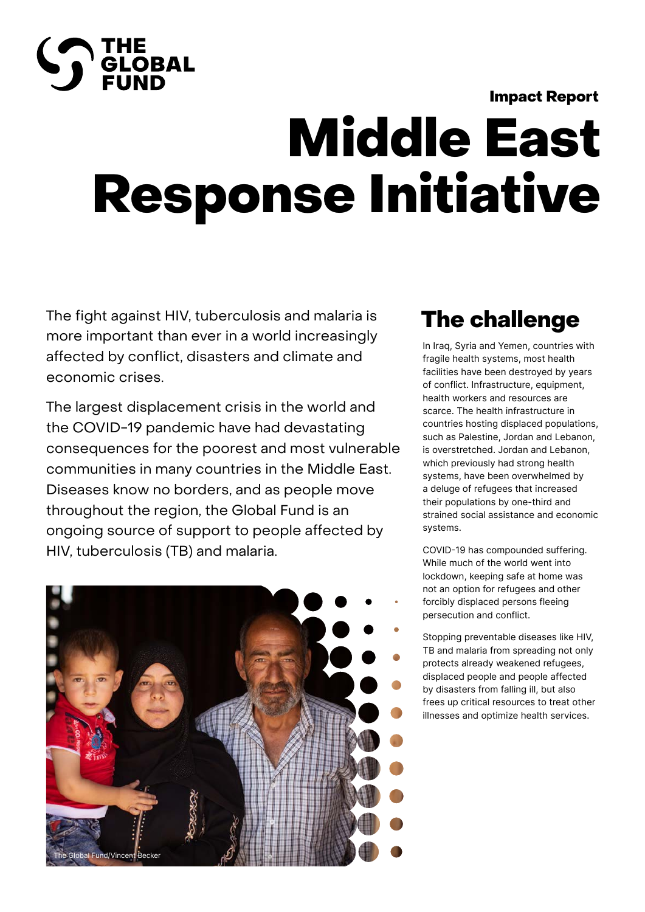#### Impact Report

# **THE<br>PELOBAL**<br>FUND

## Middle East Response Initiative

The fight against HIV, tuberculosis and malaria is more important than ever in a world increasingly affected by conflict, disasters and climate and economic crises.

The largest displacement crisis in the world and the COVID-19 pandemic have had devastating consequences for the poorest and most vulnerable communities in many countries in the Middle East. Diseases know no borders, and as people move throughout the region, the Global Fund is an ongoing source of support to people affected by HIV, tuberculosis (TB) and malaria.



## The challenge

In Iraq, Syria and Yemen, countries with fragile health systems, most health facilities have been destroyed by years of conflict. Infrastructure, equipment, health workers and resources are scarce. The health infrastructure in countries hosting displaced populations, such as Palestine, Jordan and Lebanon, is overstretched. Jordan and Lebanon, which previously had strong health systems, have been overwhelmed by a deluge of refugees that increased their populations by one-third and strained social assistance and economic systems.

COVID-19 has compounded suffering. While much of the world went into lockdown, keeping safe at home was not an option for refugees and other forcibly displaced persons fleeing persecution and conflict.

Stopping preventable diseases like HIV, TB and malaria from spreading not only protects already weakened refugees, displaced people and people affected by disasters from falling ill, but also frees up critical resources to treat other illnesses and optimize health services.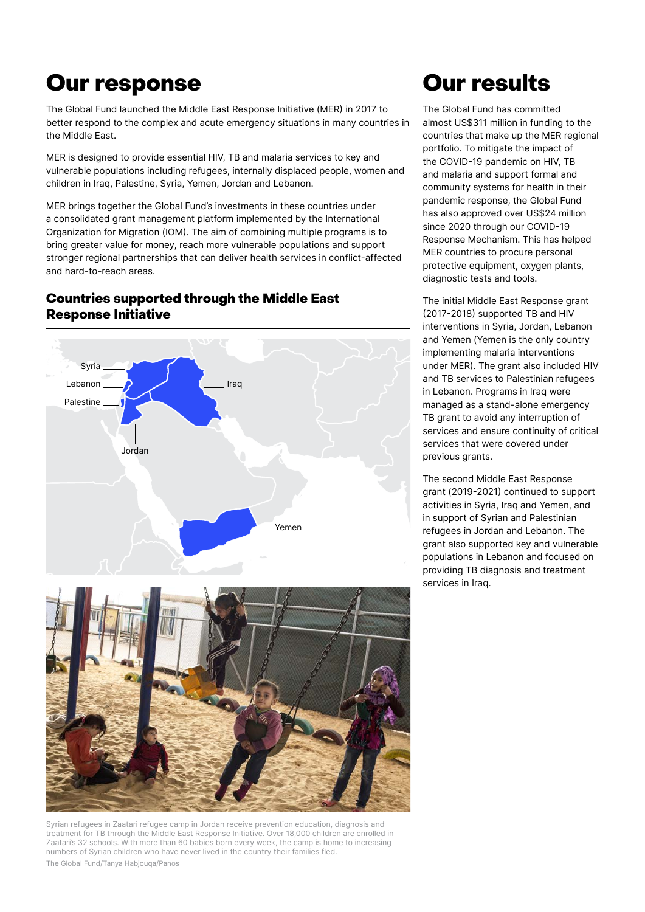## Our response

The Global Fund launched the Middle East Response Initiative (MER) in 2017 to better respond to the complex and acute emergency situations in many countries in the Middle East.

MER is designed to provide essential HIV, TB and malaria services to key and vulnerable populations including refugees, internally displaced people, women and children in Iraq, Palestine, Syria, Yemen, Jordan and Lebanon.

MER brings together the Global Fund's investments in these countries under a consolidated grant management platform implemented by the International Organization for Migration (IOM). The aim of combining multiple programs is to bring greater value for money, reach more vulnerable populations and support stronger regional partnerships that can deliver health services in conflict-affected and hard-to-reach areas.

#### Countries supported through the Middle East Response Initiative





Syrian refugees in Zaatari refugee camp in Jordan receive prevention education, diagnosis and treatment for TB through the Middle East Response Initiative. Over 18,000 children are enrolled in Zaatari's 32 schools. With more than 60 babies born every week, the camp is home to increasing numbers of Syrian children who have never lived in the country their families fled. The Global Fund/Tanya Habjouqa/Panos

## Our results

The Global Fund has committed almost US\$311 million in funding to the countries that make up the MER regional portfolio. To mitigate the impact of the COVID-19 pandemic on HIV, TB and malaria and support formal and community systems for health in their pandemic response, the Global Fund has also approved over US\$24 million since 2020 through our COVID-19 Response Mechanism. This has helped MER countries to procure personal protective equipment, oxygen plants, diagnostic tests and tools.

The initial Middle East Response grant (2017-2018) supported TB and HIV interventions in Syria, Jordan, Lebanon and Yemen (Yemen is the only country implementing malaria interventions under MER). The grant also included HIV and TB services to Palestinian refugees in Lebanon. Programs in Iraq were managed as a stand-alone emergency TB grant to avoid any interruption of services and ensure continuity of critical services that were covered under previous grants.

The second Middle East Response grant (2019-2021) continued to support activities in Syria, Iraq and Yemen, and in support of Syrian and Palestinian refugees in Jordan and Lebanon. The grant also supported key and vulnerable populations in Lebanon and focused on providing TB diagnosis and treatment services in Iraq.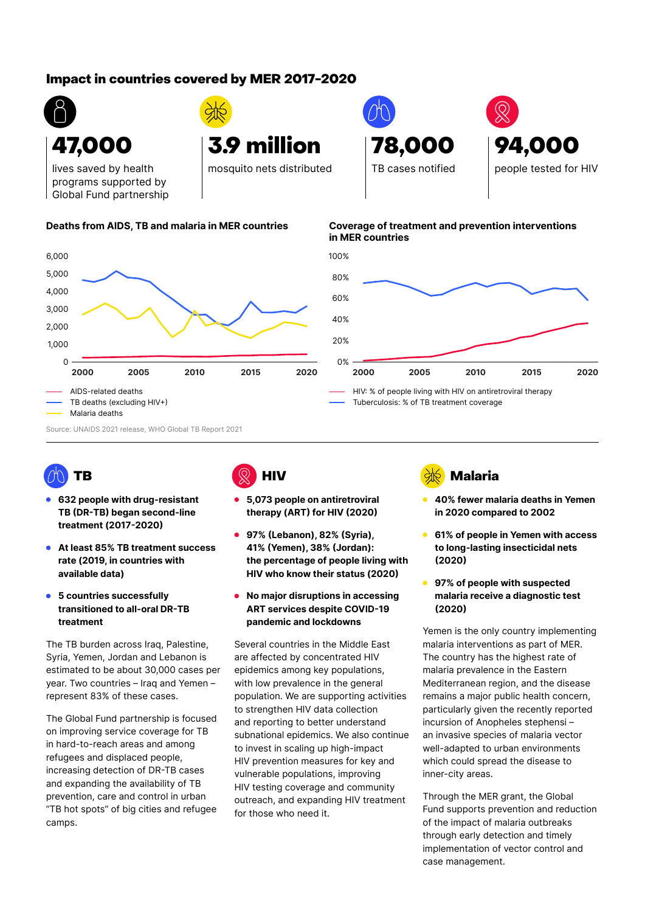### Impact in countries covered by MER 2017-2020



3.9 million

mosquito nets distributed

lives saved by health programs supported by Global Fund partnership



#### **Deaths from AIDS, TB and malaria in MER countries Coverage of treatment and prevention interventions in MER countries**

78,000

TB cases notified



Tuberculosis: % of TB treatment coverage

TB

- **632 people with drug-resistant TB (DR-TB) began second-line treatment (2017-2020)**
- **At least 85% TB treatment success rate (2019, in countries with available data)**
- **5 countries successfully transitioned to all-oral DR-TB treatment**

The TB burden across Iraq, Palestine, several co Syria, Yemen, Jordan and Lebanon is are aff estimated to be about 30,000 cases per year. Two countries – Iraq and Yemen – represent 83% of these cases. B burden across iraq, Palestine,

The Global Fund partnership is focused on improving service coverage for TB in hard-to-reach areas and among refugees and displaced people, increasing detection of DR-TB cases and expanding the availability of TB prevention, care and control in urban "TB hot spots" of big cities and refugee camps.



- **5,073 people on antiretroviral therapy (ART) for HIV (2020)**
- **97% (Lebanon), 82% (Syria), 41% (Yemen), 38% (Jordan): the percentage of people living with HIV who know their status (2020)**
- **No major disruptions in accessing ART services despite COVID-19 pandemic and lockdowns**

Several countries in the Middle East AIDS-related deaths are affected by concentrated HIV epidemics among key populations, with low prevalence in the general population. We are supporting activities to strengthen HIV data collection and reporting to better understand subnational epidemics. We also continue to invest in scaling up high-impact HIV prevention measures for key and vulnerable populations, improving HIV testing coverage and community outreach, and expanding HIV treatment for those who need it.  $\mathop{\text{naic}}$  East  $\qquad$  ma



**40% fewer malaria deaths in Yemen in 2020 compared to 2002**

94,000

people tested for HIV

- **61% of people in Yemen with access to long-lasting insecticidal nets (2020)**
- **97% of people with suspected malaria receive a diagnostic test (2020)**

Yemen is the only country implementing malaria interventions as part of MER. The country has the highest rate of malaria prevalence in the Eastern Mediterranean region, and the disease remains a major public health concern, particularly given the recently reported incursion of Anopheles stephensi – an invasive species of malaria vector well-adapted to urban environments which could spread the disease to inner-city areas.

Through the MER grant, the Global Fund supports prevention and reduction of the impact of malaria outbreaks through early detection and timely implementation of vector control and case management.